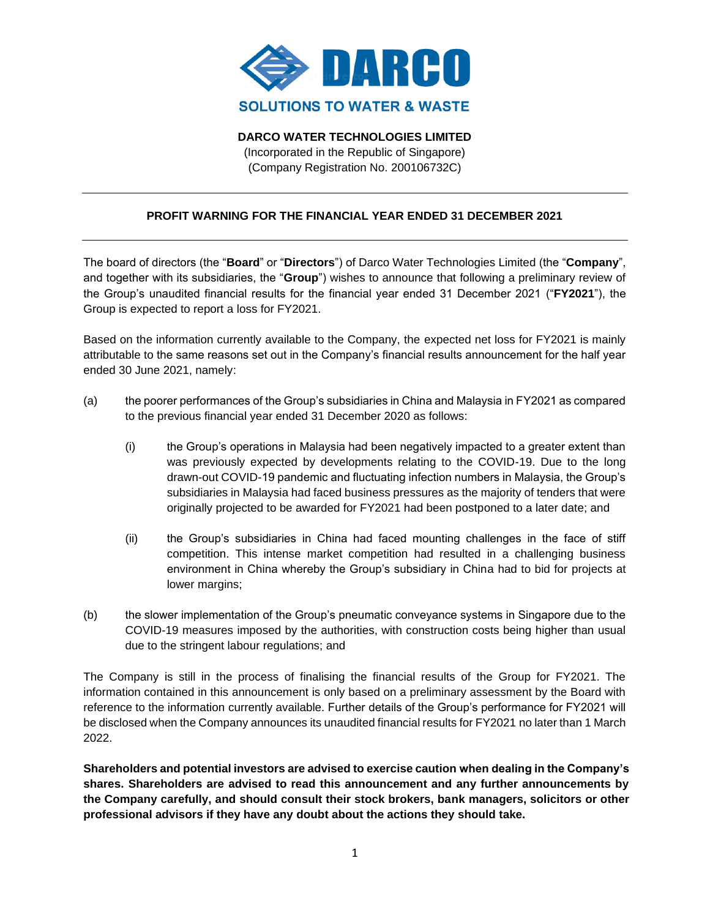

**DARCO WATER TECHNOLOGIES LIMITED**

(Incorporated in the Republic of Singapore) (Company Registration No. 200106732C)

## **PROFIT WARNING FOR THE FINANCIAL YEAR ENDED 31 DECEMBER 2021**

The board of directors (the "**Board**" or "**Directors**") of Darco Water Technologies Limited (the "**Company**", and together with its subsidiaries, the "**Group**") wishes to announce that following a preliminary review of the Group's unaudited financial results for the financial year ended 31 December 2021 ("**FY2021**"), the Group is expected to report a loss for FY2021.

Based on the information currently available to the Company, the expected net loss for FY2021 is mainly attributable to the same reasons set out in the Company's financial results announcement for the half year ended 30 June 2021, namely:

- (a) the poorer performances of the Group's subsidiaries in China and Malaysia in FY2021 as compared to the previous financial year ended 31 December 2020 as follows:
	- (i) the Group's operations in Malaysia had been negatively impacted to a greater extent than was previously expected by developments relating to the COVID-19. Due to the long drawn-out COVID-19 pandemic and fluctuating infection numbers in Malaysia, the Group's subsidiaries in Malaysia had faced business pressures as the majority of tenders that were originally projected to be awarded for FY2021 had been postponed to a later date; and
	- (ii) the Group's subsidiaries in China had faced mounting challenges in the face of stiff competition. This intense market competition had resulted in a challenging business environment in China whereby the Group's subsidiary in China had to bid for projects at lower margins;
- (b) the slower implementation of the Group's pneumatic conveyance systems in Singapore due to the COVID-19 measures imposed by the authorities, with construction costs being higher than usual due to the stringent labour regulations; and

The Company is still in the process of finalising the financial results of the Group for FY2021. The information contained in this announcement is only based on a preliminary assessment by the Board with reference to the information currently available. Further details of the Group's performance for FY2021 will be disclosed when the Company announces its unaudited financial results for FY2021 no later than 1 March 2022.

**Shareholders and potential investors are advised to exercise caution when dealing in the Company's shares. Shareholders are advised to read this announcement and any further announcements by the Company carefully, and should consult their stock brokers, bank managers, solicitors or other professional advisors if they have any doubt about the actions they should take.**